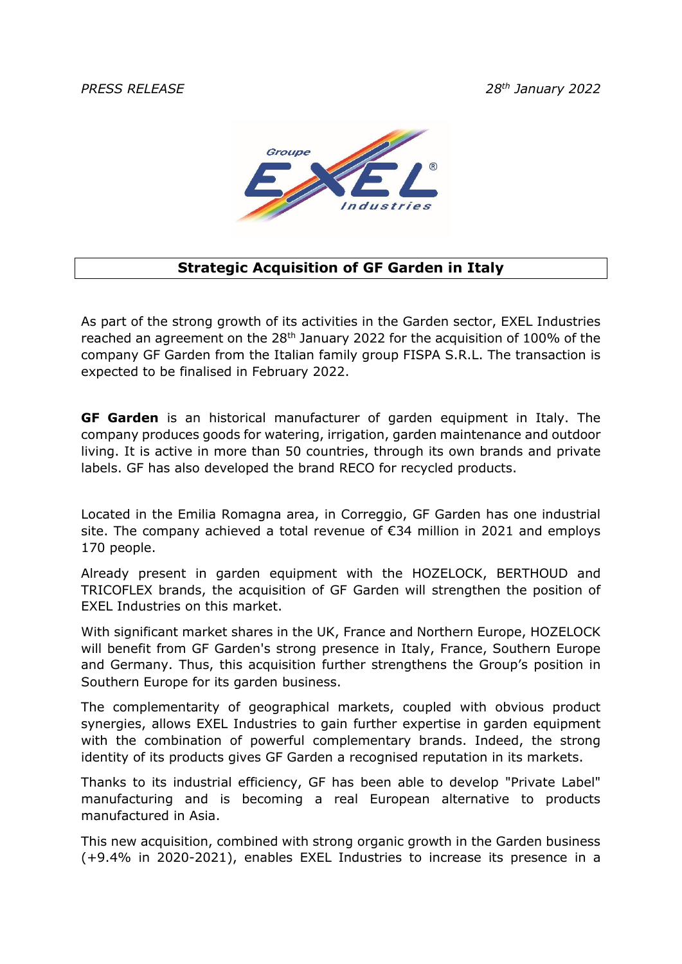*PRESS RELEASE 28th January 2022*



## **Strategic Acquisition of GF Garden in Italy**

As part of the strong growth of its activities in the Garden sector, EXEL Industries reached an agreement on the  $28<sup>th</sup>$  January 2022 for the acquisition of 100% of the company GF Garden from the Italian family group FISPA S.R.L. The transaction is expected to be finalised in February 2022.

**GF Garden** is an historical manufacturer of garden equipment in Italy. The company produces goods for watering, irrigation, garden maintenance and outdoor living. It is active in more than 50 countries, through its own brands and private labels. GF has also developed the brand RECO for recycled products.

Located in the Emilia Romagna area, in Correggio, GF Garden has one industrial site. The company achieved a total revenue of €34 million in 2021 and employs 170 people.

Already present in garden equipment with the HOZELOCK, BERTHOUD and TRICOFLEX brands, the acquisition of GF Garden will strengthen the position of EXEL Industries on this market.

With significant market shares in the UK, France and Northern Europe, HOZELOCK will benefit from GF Garden's strong presence in Italy, France, Southern Europe and Germany. Thus, this acquisition further strengthens the Group's position in Southern Europe for its garden business.

The complementarity of geographical markets, coupled with obvious product synergies, allows EXEL Industries to gain further expertise in garden equipment with the combination of powerful complementary brands. Indeed, the strong identity of its products gives GF Garden a recognised reputation in its markets.

Thanks to its industrial efficiency, GF has been able to develop "Private Label" manufacturing and is becoming a real European alternative to products manufactured in Asia.

This new acquisition, combined with strong organic growth in the Garden business (+9.4% in 2020-2021), enables EXEL Industries to increase its presence in a